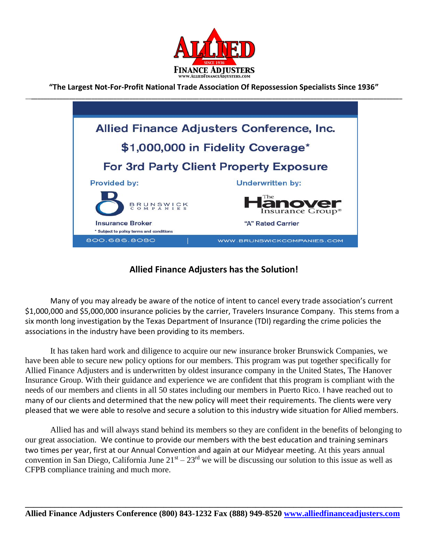

**"The Largest Not-For-Profit National Trade Association Of Repossession Specialists Since 1936"** \_\_**\_\_\_\_\_\_\_\_\_\_\_\_\_\_\_\_\_\_\_\_\_\_\_\_\_\_\_\_\_\_\_\_\_\_\_\_\_\_\_\_\_\_\_\_\_\_\_\_\_\_\_\_\_\_\_\_\_\_\_\_\_\_\_\_\_\_\_\_\_\_\_\_\_\_\_\_\_\_\_\_\_\_\_\_\_\_\_\_\_\_\_\_\_\_\_\_\_\_\_\_\_\_\_\_\_\_\_\_\_\_\_\_\_\_\_\_\_**



## **Allied Finance Adjusters has the Solution!**

Many of you may already be aware of the notice of intent to cancel every trade association's current \$1,000,000 and \$5,000,000 insurance policies by the carrier, Travelers Insurance Company. This stems from a six month long investigation by the Texas Department of Insurance (TDI) regarding the crime policies the associations in the industry have been providing to its members.

It has taken hard work and diligence to acquire our new insurance broker Brunswick Companies, we have been able to secure new policy options for our members. This program was put together specifically for Allied Finance Adjusters and is underwritten by oldest insurance company in the United States, The Hanover Insurance Group. With their guidance and experience we are confident that this program is compliant with the needs of our members and clients in all 50 states including our members in Puerto Rico. I have reached out to many of our clients and determined that the new policy will meet their requirements. The clients were very pleased that we were able to resolve and secure a solution to this industry wide situation for Allied members.

Allied has and will always stand behind its members so they are confident in the benefits of belonging to our great association. We continue to provide our members with the best education and training seminars two times per year, first at our Annual Convention and again at our Midyear meeting. At this years annual convention in San Diego, California June  $21^{st} - 23^{rd}$  we will be discussing our solution to this issue as well as CFPB compliance training and much more.